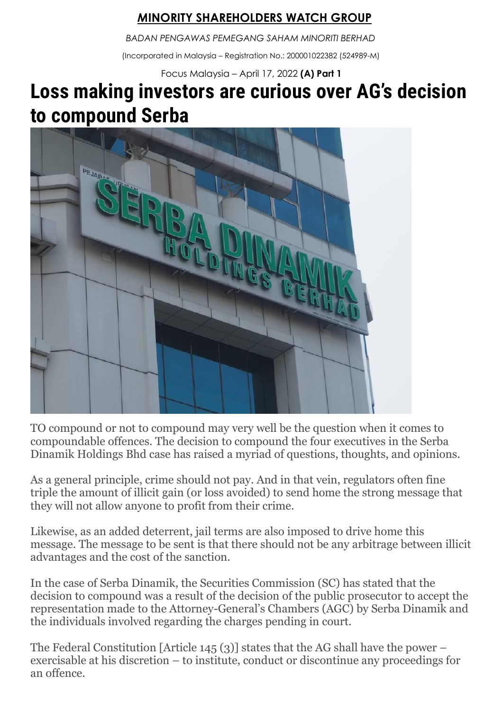## *M***INORITY SHAREHOLDERS WATCH GROUP**

*BADAN PENGAWAS PEMEGANG SAHAM MINORITI BERHAD*

(Incorporated in Malaysia – Registration No.: 200001022382 (524989-M)

Focus Malaysia – April 17, 2022 **(A) Part 1**

## **Loss making investors are curious over AG's decision to compound Serba**



TO compound or not to compound may very well be the question when it comes to compoundable offences. The decision to compound the four executives in the Serba Dinamik Holdings Bhd case has raised a myriad of questions, thoughts, and opinions.

As a general principle, crime should not pay. And in that vein, regulators often fine triple the amount of illicit gain (or loss avoided) to send home the strong message that they will not allow anyone to profit from their crime.

Likewise, as an added deterrent, jail terms are also imposed to drive home this message. The message to be sent is that there should not be any arbitrage between illicit advantages and the cost of the sanction.

In the case of Serba Dinamik, the Securities Commission (SC) has stated that the decision to compound was a result of the decision of the public prosecutor to accept the representation made to the Attorney-General's Chambers (AGC) by Serba Dinamik and the individuals involved regarding the charges pending in court.

The Federal Constitution [Article 145 (3)] states that the AG shall have the power – exercisable at his discretion – to institute, conduct or discontinue any proceedings for an offence.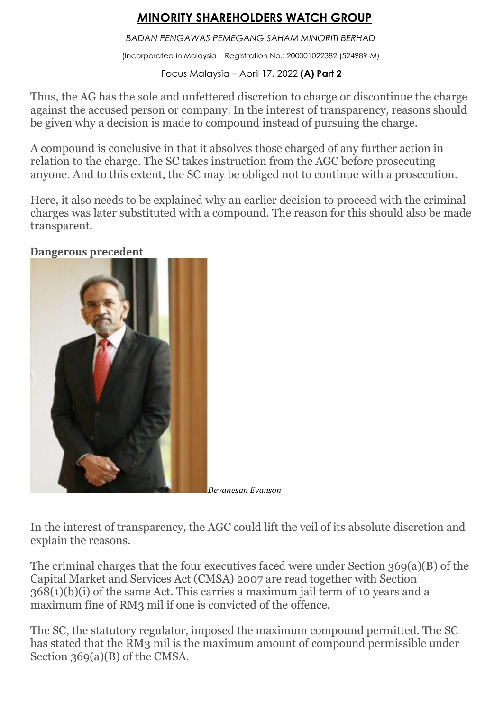## *M***INORITY SHAREHOLDERS WATCH GROUP**

*BADAN PENGAWAS PEMEGANG SAHAM MINORITI BERHAD*

(Incorporated in Malaysia – Registration No.: 200001022382 (524989-M)

Focus Malaysia – April 17, 2022 **(A) Part 2**

Thus, the AG has the sole and unfettered discretion to charge or discontinue the charge against the accused person or company. In the interest of transparency, reasons should be given why a decision is made to compound instead of pursuing the charge.

A compound is conclusive in that it absolves those charged of any further action in relation to the charge. The SC takes instruction from the AGC before prosecuting anyone. And to this extent, the SC may be obliged not to continue with a prosecution.

Here, it also needs to be explained why an earlier decision to proceed with the criminal charges was later substituted with a compound. The reason for this should also be made transparent.

**Dangerous precedent**



*Devanesan Evanson*

In the interest of transparency, the AGC could lift the veil of its absolute discretion and explain the reasons.

The criminal charges that the four executives faced were under Section 369(a)(B) of the Capital Market and Services Act (CMSA) 2007 are read together with Section 368(1)(b)(i) of the same Act. This carries a maximum jail term of 10 years and a maximum fine of RM3 mil if one is convicted of the offence.

The SC, the statutory regulator, imposed the maximum compound permitted. The SC has stated that the RM3 mil is the maximum amount of compound permissible under Section 369(a)(B) of the CMSA.